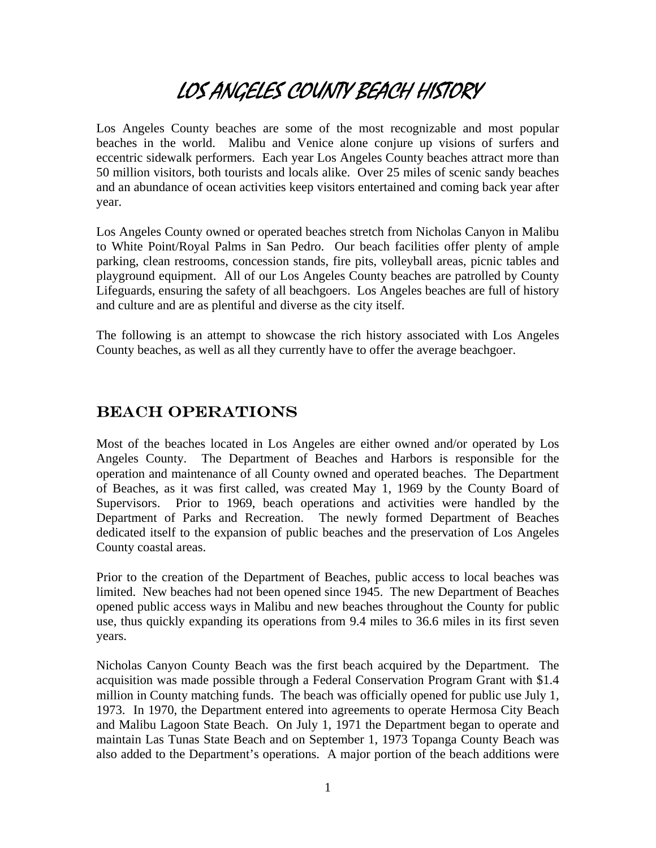# LOS ANGELES COUNTY BEACH HISTORY

Los Angeles County beaches are some of the most recognizable and most popular beaches in the world. Malibu and Venice alone conjure up visions of surfers and eccentric sidewalk performers. Each year Los Angeles County beaches attract more than 50 million visitors, both tourists and locals alike. Over 25 miles of scenic sandy beaches and an abundance of ocean activities keep visitors entertained and coming back year after year.

Los Angeles County owned or operated beaches stretch from Nicholas Canyon in Malibu to White Point/Royal Palms in San Pedro. Our beach facilities offer plenty of ample parking, clean restrooms, concession stands, fire pits, volleyball areas, picnic tables and playground equipment. All of our Los Angeles County beaches are patrolled by County Lifeguards, ensuring the safety of all beachgoers. Los Angeles beaches are full of history and culture and are as plentiful and diverse as the city itself.

The following is an attempt to showcase the rich history associated with Los Angeles County beaches, as well as all they currently have to offer the average beachgoer.

# Beach Operations

Most of the beaches located in Los Angeles are either owned and/or operated by Los Angeles County. The Department of Beaches and Harbors is responsible for the operation and maintenance of all County owned and operated beaches. The Department of Beaches, as it was first called, was created May 1, 1969 by the County Board of Supervisors. Prior to 1969, beach operations and activities were handled by the Department of Parks and Recreation. The newly formed Department of Beaches dedicated itself to the expansion of public beaches and the preservation of Los Angeles County coastal areas.

Prior to the creation of the Department of Beaches, public access to local beaches was limited. New beaches had not been opened since 1945. The new Department of Beaches opened public access ways in Malibu and new beaches throughout the County for public use, thus quickly expanding its operations from 9.4 miles to 36.6 miles in its first seven years.

Nicholas Canyon County Beach was the first beach acquired by the Department. The acquisition was made possible through a Federal Conservation Program Grant with \$1.4 million in County matching funds. The beach was officially opened for public use July 1, 1973. In 1970, the Department entered into agreements to operate Hermosa City Beach and Malibu Lagoon State Beach. On July 1, 1971 the Department began to operate and maintain Las Tunas State Beach and on September 1, 1973 Topanga County Beach was also added to the Department's operations. A major portion of the beach additions were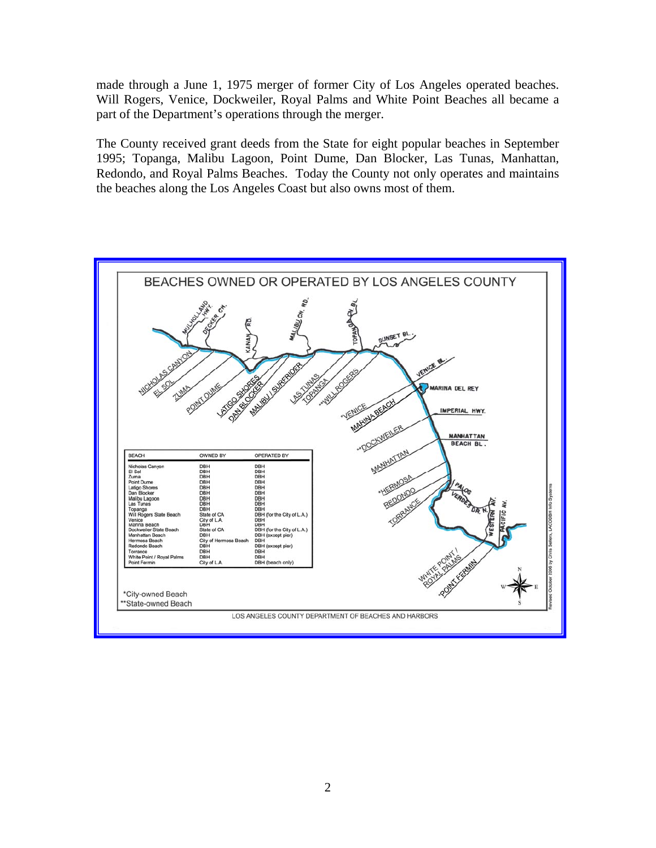made through a June 1, 1975 merger of former City of Los Angeles operated beaches. Will Rogers, Venice, Dockweiler, Royal Palms and White Point Beaches all became a part of the Department's operations through the merger.

The County received grant deeds from the State for eight popular beaches in September 1995; Topanga, Malibu Lagoon, Point Dume, Dan Blocker, Las Tunas, Manhattan, Redondo, and Royal Palms Beaches. Today the County not only operates and maintains the beaches along the Los Angeles Coast but also owns most of them.

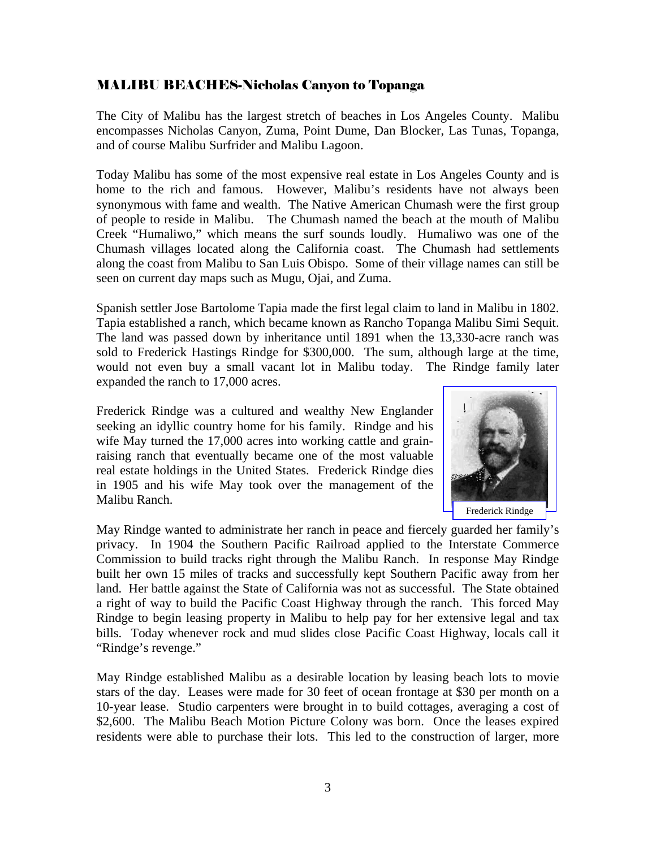#### MALIBU BEACHES-Nicholas Canyon to Topanga

The City of Malibu has the largest stretch of beaches in Los Angeles County. Malibu encompasses Nicholas Canyon, Zuma, Point Dume, Dan Blocker, Las Tunas, Topanga, and of course Malibu Surfrider and Malibu Lagoon.

Today Malibu has some of the most expensive real estate in Los Angeles County and is home to the rich and famous. However, Malibu's residents have not always been synonymous with fame and wealth. The Native American Chumash were the first group of people to reside in Malibu. The Chumash named the beach at the mouth of Malibu Creek "Humaliwo," which means the surf sounds loudly. Humaliwo was one of the Chumash villages located along the California coast. The Chumash had settlements along the coast from Malibu to San Luis Obispo. Some of their village names can still be seen on current day maps such as Mugu, Ojai, and Zuma.

Spanish settler Jose Bartolome Tapia made the first legal claim to land in Malibu in 1802. Tapia established a ranch, which became known as Rancho Topanga Malibu Simi Sequit. The land was passed down by inheritance until 1891 when the 13,330-acre ranch was sold to Frederick Hastings Rindge for \$300,000. The sum, although large at the time, would not even buy a small vacant lot in Malibu today. The Rindge family later expanded the ranch to 17,000 acres.

Frederick Rindge was a cultured and wealthy New Englander seeking an idyllic country home for his family. Rindge and his wife May turned the 17,000 acres into working cattle and grainraising ranch that eventually became one of the most valuable real estate holdings in the United States. Frederick Rindge dies in 1905 and his wife May took over the management of the Malibu Ranch.



May Rindge wanted to administrate her ranch in peace and fiercely guarded her family's privacy. In 1904 the Southern Pacific Railroad applied to the Interstate Commerce Commission to build tracks right through the Malibu Ranch. In response May Rindge built her own 15 miles of tracks and successfully kept Southern Pacific away from her land. Her battle against the State of California was not as successful. The State obtained a right of way to build the Pacific Coast Highway through the ranch. This forced May Rindge to begin leasing property in Malibu to help pay for her extensive legal and tax bills. Today whenever rock and mud slides close Pacific Coast Highway, locals call it "Rindge's revenge."

May Rindge established Malibu as a desirable location by leasing beach lots to movie stars of the day. Leases were made for 30 feet of ocean frontage at \$30 per month on a 10-year lease. Studio carpenters were brought in to build cottages, averaging a cost of \$2,600. The Malibu Beach Motion Picture Colony was born. Once the leases expired residents were able to purchase their lots. This led to the construction of larger, more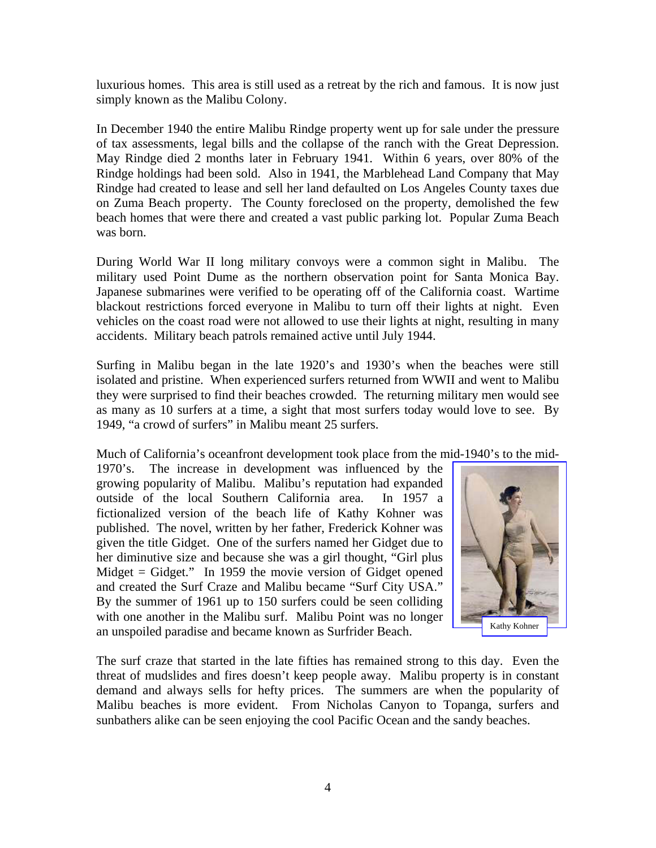luxurious homes. This area is still used as a retreat by the rich and famous. It is now just simply known as the Malibu Colony.

In December 1940 the entire Malibu Rindge property went up for sale under the pressure of tax assessments, legal bills and the collapse of the ranch with the Great Depression. May Rindge died 2 months later in February 1941. Within 6 years, over 80% of the Rindge holdings had been sold. Also in 1941, the Marblehead Land Company that May Rindge had created to lease and sell her land defaulted on Los Angeles County taxes due on Zuma Beach property. The County foreclosed on the property, demolished the few beach homes that were there and created a vast public parking lot. Popular Zuma Beach was born.

During World War II long military convoys were a common sight in Malibu. The military used Point Dume as the northern observation point for Santa Monica Bay. Japanese submarines were verified to be operating off of the California coast. Wartime blackout restrictions forced everyone in Malibu to turn off their lights at night. Even vehicles on the coast road were not allowed to use their lights at night, resulting in many accidents. Military beach patrols remained active until July 1944.

Surfing in Malibu began in the late 1920's and 1930's when the beaches were still isolated and pristine. When experienced surfers returned from WWII and went to Malibu they were surprised to find their beaches crowded. The returning military men would see as many as 10 surfers at a time, a sight that most surfers today would love to see. By 1949, "a crowd of surfers" in Malibu meant 25 surfers.

Much of California's oceanfront development took place from the mid-1940's to the mid-

1970's. The increase in development was influenced by the growing popularity of Malibu. Malibu's reputation had expanded outside of the local Southern California area. In 1957 a fictionalized version of the beach life of Kathy Kohner was published. The novel, written by her father, Frederick Kohner was given the title Gidget. One of the surfers named her Gidget due to her diminutive size and because she was a girl thought, "Girl plus Midget  $=$  Gidget." In 1959 the movie version of Gidget opened and created the Surf Craze and Malibu became "Surf City USA." By the summer of 1961 up to 150 surfers could be seen colliding with one another in the Malibu surf. Malibu Point was no longer an unspoiled paradise and became known as Surfrider Beach.



The surf craze that started in the late fifties has remained strong to this day. Even the threat of mudslides and fires doesn't keep people away. Malibu property is in constant demand and always sells for hefty prices. The summers are when the popularity of Malibu beaches is more evident. From Nicholas Canyon to Topanga, surfers and sunbathers alike can be seen enjoying the cool Pacific Ocean and the sandy beaches.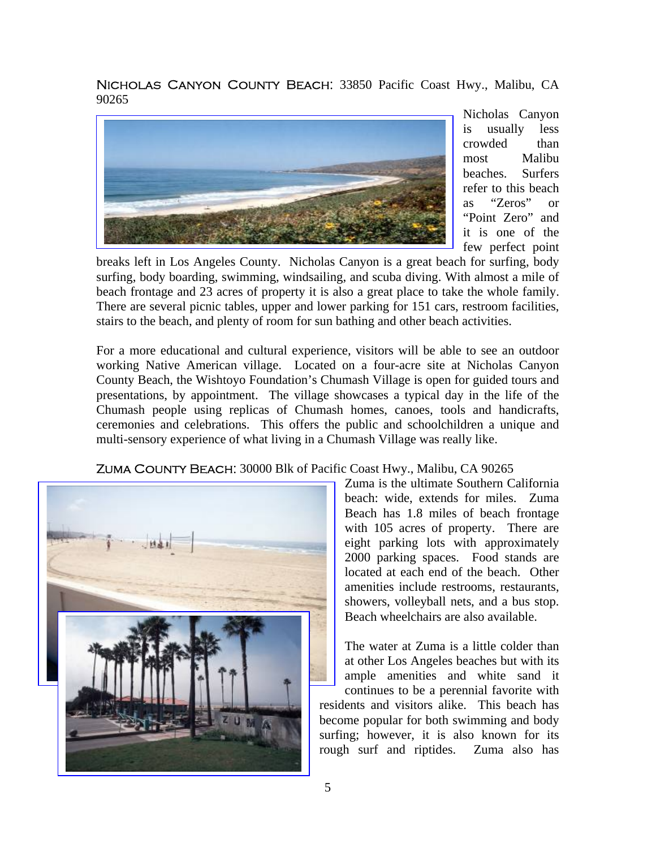Nicholas Canyon County Beach: 33850 Pacific Coast Hwy., Malibu, CA 90265



Nicholas Canyon is usually less crowded than most Malibu beaches. Surfers refer to this beach as "Zeros" or "Point Zero" and it is one of the few perfect point

breaks left in Los Angeles County. Nicholas Canyon is a great beach for surfing, body surfing, body boarding, swimming, windsailing, and scuba diving. With almost a mile of beach frontage and 23 acres of property it is also a great place to take the whole family. There are several picnic tables, upper and lower parking for 151 cars, restroom facilities, stairs to the beach, and plenty of room for sun bathing and other beach activities.

For a more educational and cultural experience, visitors will be able to see an outdoor working Native American village. Located on a four-acre site at Nicholas Canyon County Beach, the Wishtoyo Foundation's Chumash Village is open for guided tours and presentations, by appointment. The village showcases a typical day in the life of the Chumash people using replicas of Chumash homes, canoes, tools and handicrafts, ceremonies and celebrations. This offers the public and schoolchildren a unique and multi-sensory experience of what living in a Chumash Village was really like.



Zuma County Beach: 30000 Blk of Pacific Coast Hwy., Malibu, CA 90265

Zuma is the ultimate Southern California beach: wide, extends for miles. Zuma Beach has 1.8 miles of beach frontage with 105 acres of property. There are eight parking lots with approximately 2000 parking spaces. Food stands are located at each end of the beach. Other amenities include restrooms, restaurants, showers, volleyball nets, and a bus stop. Beach wheelchairs are also available.

The water at Zuma is a little colder than at other Los Angeles beaches but with its ample amenities and white sand it continues to be a perennial favorite with

residents and visitors alike. This beach has become popular for both swimming and body surfing; however, it is also known for its rough surf and riptides. Zuma also has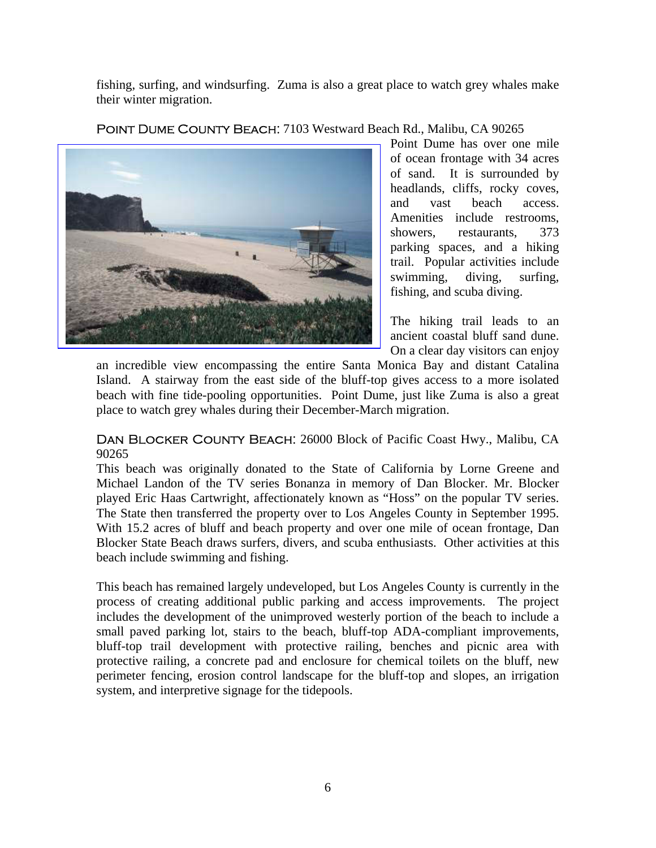fishing, surfing, and windsurfing. Zuma is also a great place to watch grey whales make their winter migration.

Point Dume County Beach: 7103 Westward Beach Rd., Malibu, CA 90265



Point Dume has over one mile of ocean frontage with 34 acres of sand. It is surrounded by headlands, cliffs, rocky coves, and vast beach access. Amenities include restrooms, showers, restaurants, 373 parking spaces, and a hiking trail. Popular activities include swimming, diving, surfing, fishing, and scuba diving.

The hiking trail leads to an ancient coastal bluff sand dune. On a clear day visitors can enjoy

an incredible view encompassing the entire Santa Monica Bay and distant Catalina Island. A stairway from the east side of the bluff-top gives access to a more isolated beach with fine tide-pooling opportunities. Point Dume, just like Zuma is also a great place to watch grey whales during their December-March migration.

Dan Blocker County Beach: 26000 Block of Pacific Coast Hwy., Malibu, CA 90265

This beach was originally donated to the State of California by Lorne Greene and Michael Landon of the TV series Bonanza in memory of Dan Blocker. Mr. Blocker played Eric Haas Cartwright, affectionately known as "Hoss" on the popular TV series. The State then transferred the property over to Los Angeles County in September 1995. With 15.2 acres of bluff and beach property and over one mile of ocean frontage, Dan Blocker State Beach draws surfers, divers, and scuba enthusiasts. Other activities at this beach include swimming and fishing.

This beach has remained largely undeveloped, but Los Angeles County is currently in the process of creating additional public parking and access improvements. The project includes the development of the unimproved westerly portion of the beach to include a small paved parking lot, stairs to the beach, bluff-top ADA-compliant improvements, bluff-top trail development with protective railing, benches and picnic area with protective railing, a concrete pad and enclosure for chemical toilets on the bluff, new perimeter fencing, erosion control landscape for the bluff-top and slopes, an irrigation system, and interpretive signage for the tidepools.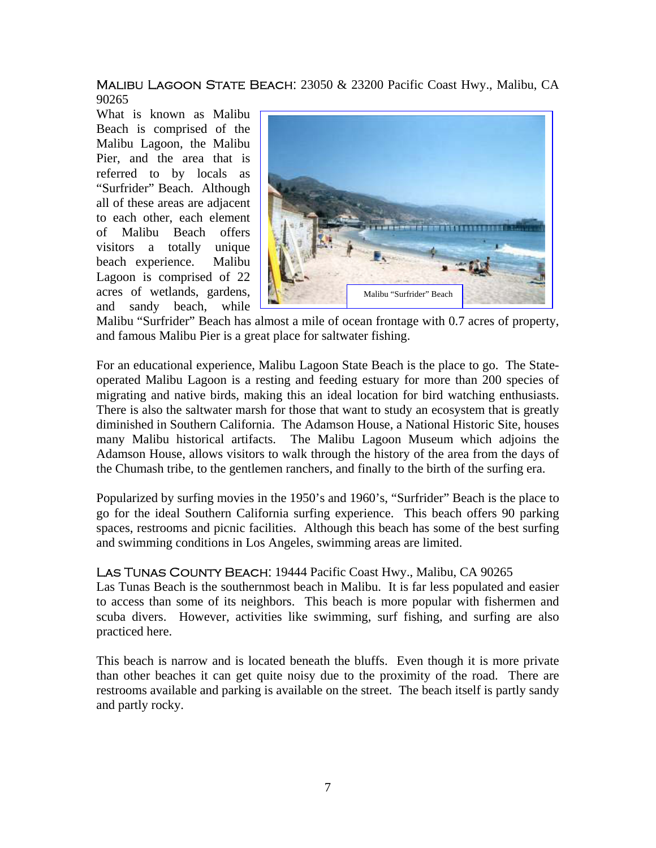MALIBU LAGOON STATE BEACH: 23050 & 23200 Pacific Coast Hwy., Malibu, CA 90265

What is known as Malibu Beach is comprised of the Malibu Lagoon, the Malibu Pier, and the area that is referred to by locals as "Surfrider" Beach. Although all of these areas are adjacent to each other, each element of Malibu Beach offers visitors a totally unique beach experience. Malibu Lagoon is comprised of 22 acres of wetlands, gardens, and sandy beach, while



Malibu "Surfrider" Beach has almost a mile of ocean frontage with 0.7 acres of property, and famous Malibu Pier is a great place for saltwater fishing.

For an educational experience, Malibu Lagoon State Beach is the place to go. The Stateoperated Malibu Lagoon is a resting and feeding estuary for more than 200 species of migrating and native birds, making this an ideal location for bird watching enthusiasts. There is also the saltwater marsh for those that want to study an ecosystem that is greatly diminished in Southern California. The Adamson House, a National Historic Site, houses many Malibu historical artifacts. The Malibu Lagoon Museum which adjoins the Adamson House, allows visitors to walk through the history of the area from the days of the Chumash tribe, to the gentlemen ranchers, and finally to the birth of the surfing era.

Popularized by surfing movies in the 1950's and 1960's, "Surfrider" Beach is the place to go for the ideal Southern California surfing experience. This beach offers 90 parking spaces, restrooms and picnic facilities. Although this beach has some of the best surfing and swimming conditions in Los Angeles, swimming areas are limited.

#### Las Tunas County Beach: 19444 Pacific Coast Hwy., Malibu, CA 90265

Las Tunas Beach is the southernmost beach in Malibu. It is far less populated and easier to access than some of its neighbors. This beach is more popular with fishermen and scuba divers. However, activities like swimming, surf fishing, and surfing are also practiced here.

This beach is narrow and is located beneath the bluffs. Even though it is more private than other beaches it can get quite noisy due to the proximity of the road. There are restrooms available and parking is available on the street. The beach itself is partly sandy and partly rocky.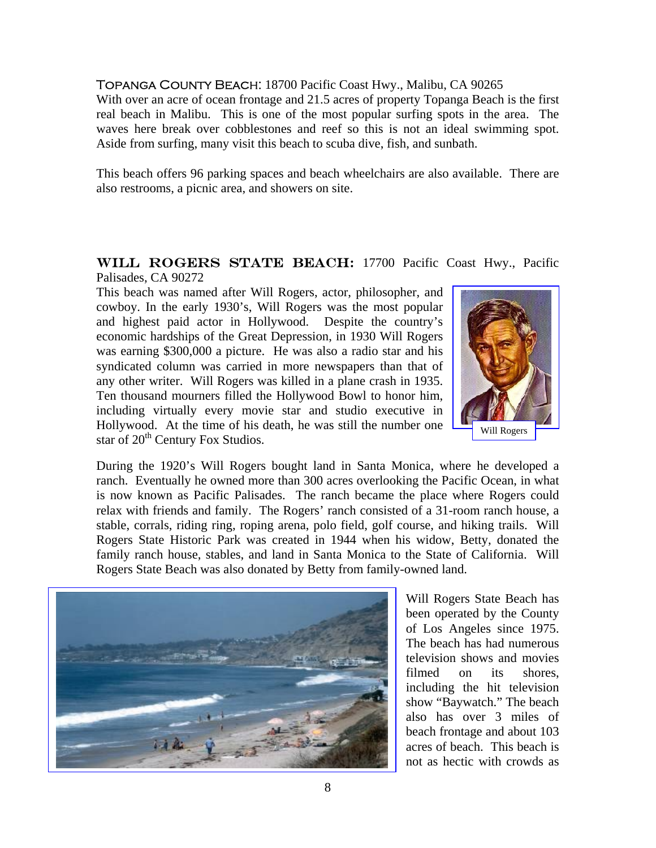#### Topanga County Beach: 18700 Pacific Coast Hwy., Malibu, CA 90265

With over an acre of ocean frontage and 21.5 acres of property Topanga Beach is the first real beach in Malibu. This is one of the most popular surfing spots in the area. The waves here break over cobblestones and reef so this is not an ideal swimming spot. Aside from surfing, many visit this beach to scuba dive, fish, and sunbath.

This beach offers 96 parking spaces and beach wheelchairs are also available. There are also restrooms, a picnic area, and showers on site.

#### WILL ROGERS STATE BEACH: 17700 Pacific Coast Hwy., Pacific Palisades, CA 90272

This beach was named after Will Rogers, actor, philosopher, and cowboy. In the early 1930's, Will Rogers was the most popular and highest paid actor in Hollywood. Despite the country's economic hardships of the Great Depression, in 1930 Will Rogers was earning \$300,000 a picture. He was also a radio star and his syndicated column was carried in more newspapers than that of any other writer. Will Rogers was killed in a plane crash in 1935. Ten thousand mourners filled the Hollywood Bowl to honor him, including virtually every movie star and studio executive in Hollywood. At the time of his death, he was still the number one star of  $20<sup>th</sup>$  Century Fox Studios.



During the 1920's Will Rogers bought land in Santa Monica, where he developed a ranch. Eventually he owned more than 300 acres overlooking the Pacific Ocean, in what is now known as Pacific Palisades. The ranch became the place where Rogers could relax with friends and family. The Rogers' ranch consisted of a 31-room ranch house, a stable, corrals, riding ring, roping arena, polo field, golf course, and hiking trails. Will Rogers State Historic Park was created in 1944 when his widow, Betty, donated the family ranch house, stables, and land in Santa Monica to the State of California. Will Rogers State Beach was also donated by Betty from family-owned land.



Will Rogers State Beach has been operated by the County of Los Angeles since 1975. The beach has had numerous television shows and movies filmed on its shores, including the hit television show "Baywatch." The beach also has over 3 miles of beach frontage and about 103 acres of beach. This beach is not as hectic with crowds as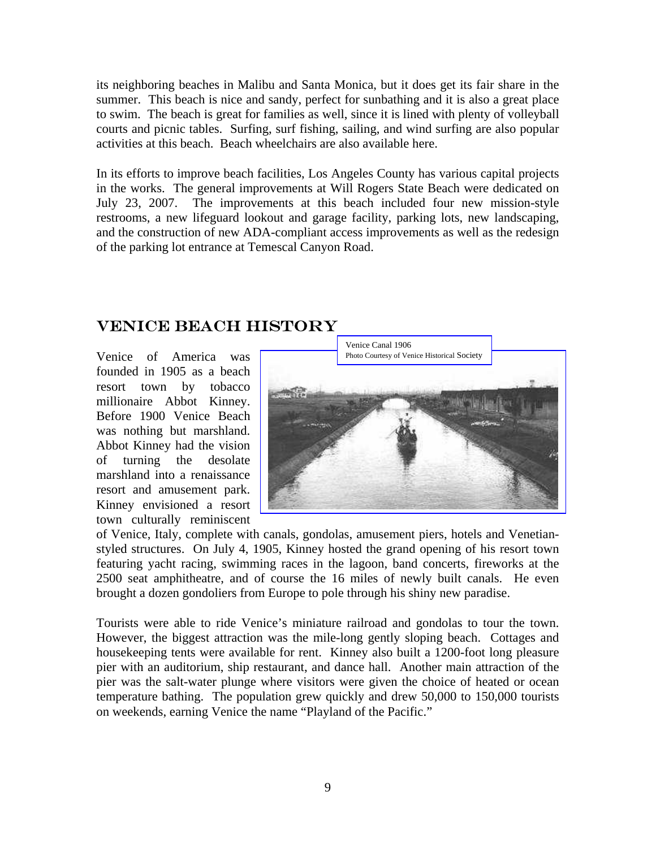its neighboring beaches in Malibu and Santa Monica, but it does get its fair share in the summer. This beach is nice and sandy, perfect for sunbathing and it is also a great place to swim. The beach is great for families as well, since it is lined with plenty of volleyball courts and picnic tables. Surfing, surf fishing, sailing, and wind surfing are also popular activities at this beach. Beach wheelchairs are also available here.

In its efforts to improve beach facilities, Los Angeles County has various capital projects in the works. The general improvements at Will Rogers State Beach were dedicated on July 23, 2007. The improvements at this beach included four new mission-style restrooms, a new lifeguard lookout and garage facility, parking lots, new landscaping, and the construction of new ADA-compliant access improvements as well as the redesign of the parking lot entrance at Temescal Canyon Road.

### VENICE BEACH HISTORY

Venice of America was founded in 1905 as a beach resort town by tobacco millionaire Abbot Kinney. Before 1900 Venice Beach was nothing but marshland. Abbot Kinney had the vision of turning the desolate marshland into a renaissance resort and amusement park. Kinney envisioned a resort town culturally reminiscent



of Venice, Italy, complete with canals, gondolas, amusement piers, hotels and Venetianstyled structures. On July 4, 1905, Kinney hosted the grand opening of his resort town featuring yacht racing, swimming races in the lagoon, band concerts, fireworks at the 2500 seat amphitheatre, and of course the 16 miles of newly built canals. He even brought a dozen gondoliers from Europe to pole through his shiny new paradise.

Tourists were able to ride Venice's miniature railroad and gondolas to tour the town. However, the biggest attraction was the mile-long gently sloping beach. Cottages and housekeeping tents were available for rent. Kinney also built a 1200-foot long pleasure pier with an auditorium, ship restaurant, and dance hall. Another main attraction of the pier was the salt-water plunge where visitors were given the choice of heated or ocean temperature bathing. The population grew quickly and drew 50,000 to 150,000 tourists on weekends, earning Venice the name "Playland of the Pacific."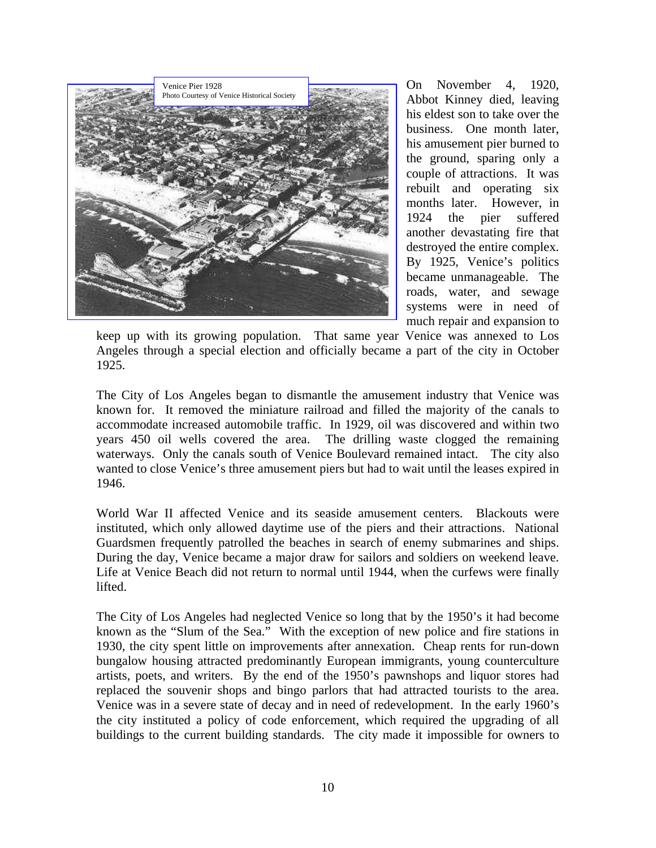

On November 4, 1920, Abbot Kinney died, leaving his eldest son to take over the business. One month later, his amusement pier burned to the ground, sparing only a couple of attractions. It was rebuilt and operating six months later. However, in 1924 the pier suffered another devastating fire that destroyed the entire complex. By 1925, Venice's politics became unmanageable. The roads, water, and sewage systems were in need of much repair and expansion to

keep up with its growing population. That same year Venice was annexed to Los Angeles through a special election and officially became a part of the city in October 1925.

The City of Los Angeles began to dismantle the amusement industry that Venice was known for. It removed the miniature railroad and filled the majority of the canals to accommodate increased automobile traffic. In 1929, oil was discovered and within two years 450 oil wells covered the area. The drilling waste clogged the remaining waterways. Only the canals south of Venice Boulevard remained intact. The city also wanted to close Venice's three amusement piers but had to wait until the leases expired in 1946.

World War II affected Venice and its seaside amusement centers. Blackouts were instituted, which only allowed daytime use of the piers and their attractions. National Guardsmen frequently patrolled the beaches in search of enemy submarines and ships. During the day, Venice became a major draw for sailors and soldiers on weekend leave. Life at Venice Beach did not return to normal until 1944, when the curfews were finally lifted.

The City of Los Angeles had neglected Venice so long that by the 1950's it had become known as the "Slum of the Sea." With the exception of new police and fire stations in 1930, the city spent little on improvements after annexation. Cheap rents for run-down bungalow housing attracted predominantly European immigrants, young counterculture artists, poets, and writers. By the end of the 1950's pawnshops and liquor stores had replaced the souvenir shops and bingo parlors that had attracted tourists to the area. Venice was in a severe state of decay and in need of redevelopment. In the early 1960's the city instituted a policy of code enforcement, which required the upgrading of all buildings to the current building standards. The city made it impossible for owners to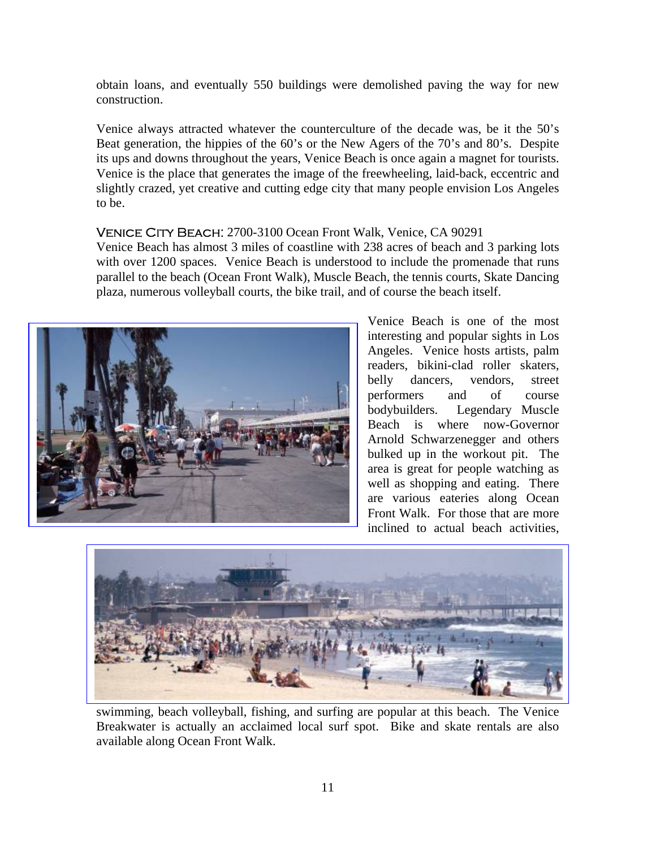obtain loans, and eventually 550 buildings were demolished paving the way for new construction.

Venice always attracted whatever the counterculture of the decade was, be it the 50's Beat generation, the hippies of the 60's or the New Agers of the 70's and 80's. Despite its ups and downs throughout the years, Venice Beach is once again a magnet for tourists. Venice is the place that generates the image of the freewheeling, laid-back, eccentric and slightly crazed, yet creative and cutting edge city that many people envision Los Angeles to be.

#### Venice City Beach: 2700-3100 Ocean Front Walk, Venice, CA 90291

Venice Beach has almost 3 miles of coastline with 238 acres of beach and 3 parking lots with over 1200 spaces. Venice Beach is understood to include the promenade that runs parallel to the beach (Ocean Front Walk), Muscle Beach, the tennis courts, Skate Dancing plaza, numerous volleyball courts, the bike trail, and of course the beach itself.



Venice Beach is one of the most interesting and popular sights in Los Angeles. Venice hosts artists, palm readers, bikini-clad roller skaters, belly dancers, vendors, street performers and of course bodybuilders. Legendary Muscle Beach is where now-Governor Arnold Schwarzenegger and others bulked up in the workout pit. The area is great for people watching as well as shopping and eating. There are various eateries along Ocean Front Walk. For those that are more inclined to actual beach activities,



swimming, beach volleyball, fishing, and surfing are popular at this beach. The Venice Breakwater is actually an acclaimed local surf spot. Bike and skate rentals are also available along Ocean Front Walk.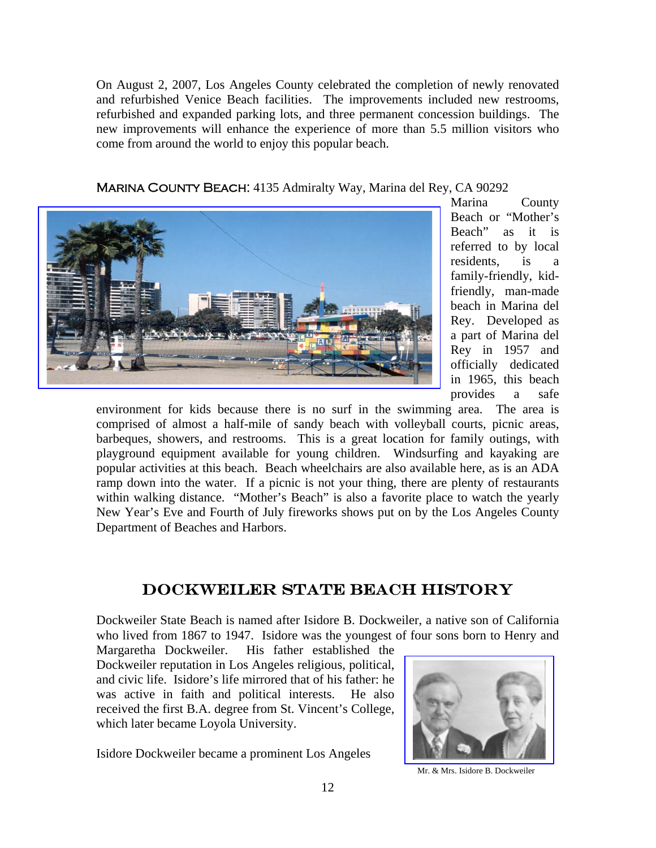On August 2, 2007, Los Angeles County celebrated the completion of newly renovated and refurbished Venice Beach facilities. The improvements included new restrooms, refurbished and expanded parking lots, and three permanent concession buildings. The new improvements will enhance the experience of more than 5.5 million visitors who come from around the world to enjoy this popular beach.





Marina County Beach or "Mother's Beach" as it is referred to by local residents, is a family-friendly, kidfriendly, man-made beach in Marina del Rey. Developed as a part of Marina del Rey in 1957 and officially dedicated in 1965, this beach provides a safe

environment for kids because there is no surf in the swimming area. The area is comprised of almost a half-mile of sandy beach with volleyball courts, picnic areas, barbeques, showers, and restrooms. This is a great location for family outings, with playground equipment available for young children. Windsurfing and kayaking are popular activities at this beach. Beach wheelchairs are also available here, as is an ADA ramp down into the water. If a picnic is not your thing, there are plenty of restaurants within walking distance. "Mother's Beach" is also a favorite place to watch the yearly New Year's Eve and Fourth of July fireworks shows put on by the Los Angeles County Department of Beaches and Harbors.

# DOCKWEILER STATE BEACH HISTORY

Dockweiler State Beach is named after Isidore B. Dockweiler, a native son of California who lived from 1867 to 1947. Isidore was the youngest of four sons born to Henry and

Margaretha Dockweiler. His father established the Dockweiler reputation in Los Angeles religious, political, and civic life. Isidore's life mirrored that of his father: he was active in faith and political interests. He also received the first B.A. degree from St. Vincent's College, which later became Loyola University.

Isidore Dockweiler became a prominent Los Angeles



Mr. & Mrs. Isidore B. Dockweiler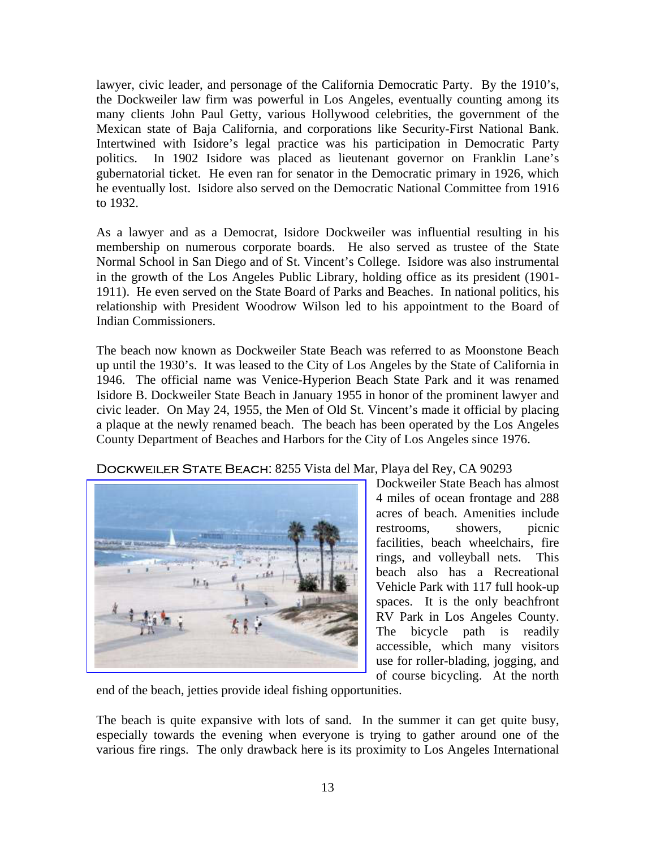lawyer, civic leader, and personage of the California Democratic Party. By the 1910's, the Dockweiler law firm was powerful in Los Angeles, eventually counting among its many clients John Paul Getty, various Hollywood celebrities, the government of the Mexican state of Baja California, and corporations like Security-First National Bank. Intertwined with Isidore's legal practice was his participation in Democratic Party politics. In 1902 Isidore was placed as lieutenant governor on Franklin Lane's gubernatorial ticket. He even ran for senator in the Democratic primary in 1926, which he eventually lost. Isidore also served on the Democratic National Committee from 1916 to 1932.

As a lawyer and as a Democrat, Isidore Dockweiler was influential resulting in his membership on numerous corporate boards. He also served as trustee of the State Normal School in San Diego and of St. Vincent's College. Isidore was also instrumental in the growth of the Los Angeles Public Library, holding office as its president (1901- 1911). He even served on the State Board of Parks and Beaches. In national politics, his relationship with President Woodrow Wilson led to his appointment to the Board of Indian Commissioners.

The beach now known as Dockweiler State Beach was referred to as Moonstone Beach up until the 1930's. It was leased to the City of Los Angeles by the State of California in 1946. The official name was Venice-Hyperion Beach State Park and it was renamed Isidore B. Dockweiler State Beach in January 1955 in honor of the prominent lawyer and civic leader. On May 24, 1955, the Men of Old St. Vincent's made it official by placing a plaque at the newly renamed beach. The beach has been operated by the Los Angeles County Department of Beaches and Harbors for the City of Los Angeles since 1976.

#### DOCKWEILER STATE BEACH: 8255 Vista del Mar, Playa del Rey, CA 90293



Dockweiler State Beach has almost 4 miles of ocean frontage and 288 acres of beach. Amenities include restrooms, showers, picnic facilities, beach wheelchairs, fire rings, and volleyball nets. This beach also has a Recreational Vehicle Park with 117 full hook-up spaces. It is the only beachfront RV Park in Los Angeles County. The bicycle path is readily accessible, which many visitors use for roller-blading, jogging, and of course bicycling. At the north

end of the beach, jetties provide ideal fishing opportunities.

The beach is quite expansive with lots of sand. In the summer it can get quite busy, especially towards the evening when everyone is trying to gather around one of the various fire rings. The only drawback here is its proximity to Los Angeles International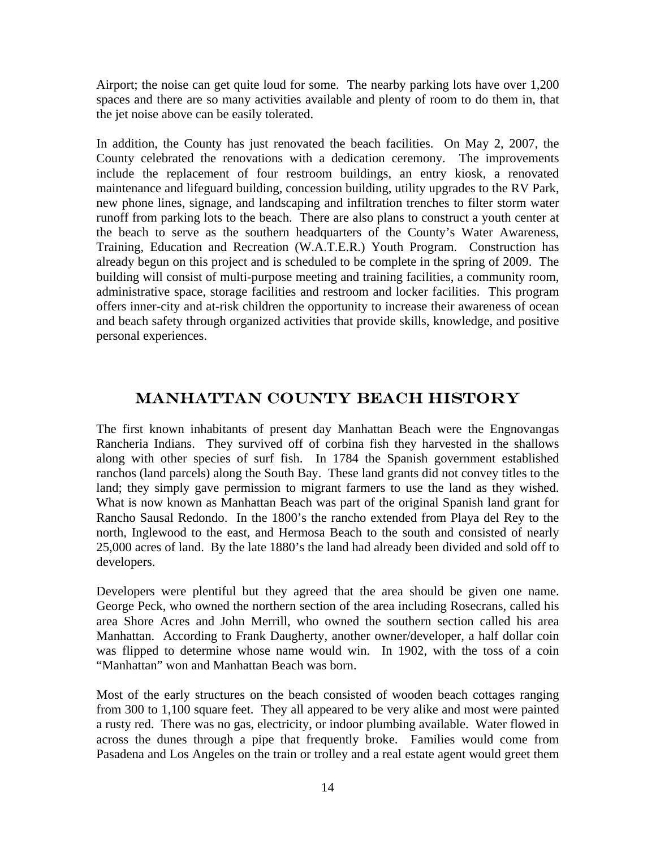Airport; the noise can get quite loud for some. The nearby parking lots have over 1,200 spaces and there are so many activities available and plenty of room to do them in, that the jet noise above can be easily tolerated.

In addition, the County has just renovated the beach facilities. On May 2, 2007, the County celebrated the renovations with a dedication ceremony. The improvements include the replacement of four restroom buildings, an entry kiosk, a renovated maintenance and lifeguard building, concession building, utility upgrades to the RV Park, new phone lines, signage, and landscaping and infiltration trenches to filter storm water runoff from parking lots to the beach. There are also plans to construct a youth center at the beach to serve as the southern headquarters of the County's Water Awareness, Training, Education and Recreation (W.A.T.E.R.) Youth Program. Construction has already begun on this project and is scheduled to be complete in the spring of 2009. The building will consist of multi-purpose meeting and training facilities, a community room, administrative space, storage facilities and restroom and locker facilities. This program offers inner-city and at-risk children the opportunity to increase their awareness of ocean and beach safety through organized activities that provide skills, knowledge, and positive personal experiences.

# MANHATTAN COUNTY BEACH HISTORY

The first known inhabitants of present day Manhattan Beach were the Engnovangas Rancheria Indians. They survived off of corbina fish they harvested in the shallows along with other species of surf fish. In 1784 the Spanish government established ranchos (land parcels) along the South Bay. These land grants did not convey titles to the land; they simply gave permission to migrant farmers to use the land as they wished. What is now known as Manhattan Beach was part of the original Spanish land grant for Rancho Sausal Redondo. In the 1800's the rancho extended from Playa del Rey to the north, Inglewood to the east, and Hermosa Beach to the south and consisted of nearly 25,000 acres of land. By the late 1880's the land had already been divided and sold off to developers.

Developers were plentiful but they agreed that the area should be given one name. George Peck, who owned the northern section of the area including Rosecrans, called his area Shore Acres and John Merrill, who owned the southern section called his area Manhattan. According to Frank Daugherty, another owner/developer, a half dollar coin was flipped to determine whose name would win. In 1902, with the toss of a coin "Manhattan" won and Manhattan Beach was born.

Most of the early structures on the beach consisted of wooden beach cottages ranging from 300 to 1,100 square feet. They all appeared to be very alike and most were painted a rusty red. There was no gas, electricity, or indoor plumbing available. Water flowed in across the dunes through a pipe that frequently broke. Families would come from Pasadena and Los Angeles on the train or trolley and a real estate agent would greet them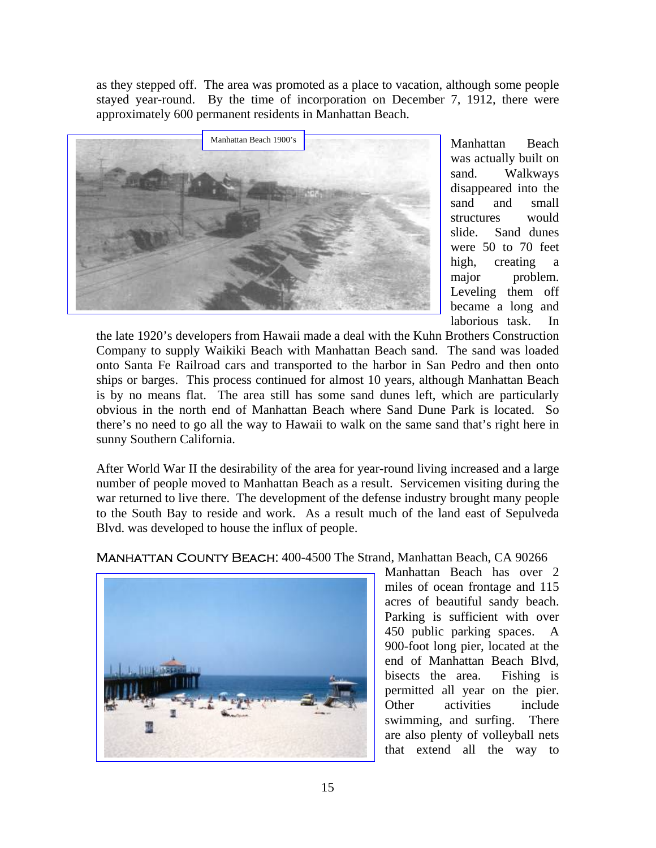as they stepped off. The area was promoted as a place to vacation, although some people stayed year-round. By the time of incorporation on December 7, 1912, there were approximately 600 permanent residents in Manhattan Beach.



Manhattan Beach was actually built on sand. Walkways disappeared into the sand and small structures would slide. Sand dunes were 50 to 70 feet high, creating a major problem. Leveling them off became a long and laborious task. In

the late 1920's developers from Hawaii made a deal with the Kuhn Brothers Construction Company to supply Waikiki Beach with Manhattan Beach sand. The sand was loaded onto Santa Fe Railroad cars and transported to the harbor in San Pedro and then onto ships or barges. This process continued for almost 10 years, although Manhattan Beach is by no means flat. The area still has some sand dunes left, which are particularly obvious in the north end of Manhattan Beach where Sand Dune Park is located. So there's no need to go all the way to Hawaii to walk on the same sand that's right here in sunny Southern California.

After World War II the desirability of the area for year-round living increased and a large number of people moved to Manhattan Beach as a result. Servicemen visiting during the war returned to live there. The development of the defense industry brought many people to the South Bay to reside and work. As a result much of the land east of Sepulveda Blvd. was developed to house the influx of people.



Manhattan County Beach: 400-4500 The Strand, Manhattan Beach, CA 90266

Manhattan Beach has over 2 miles of ocean frontage and 115 acres of beautiful sandy beach. Parking is sufficient with over 450 public parking spaces. A 900-foot long pier, located at the end of Manhattan Beach Blvd, bisects the area. Fishing is permitted all year on the pier. Other activities include swimming, and surfing. There are also plenty of volleyball nets that extend all the way to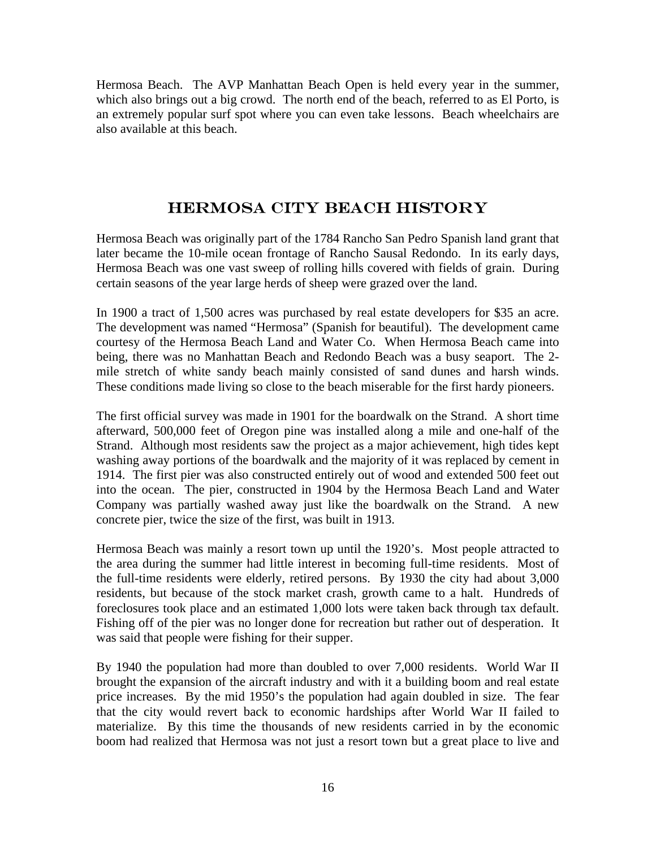Hermosa Beach. The AVP Manhattan Beach Open is held every year in the summer, which also brings out a big crowd. The north end of the beach, referred to as El Porto, is an extremely popular surf spot where you can even take lessons. Beach wheelchairs are also available at this beach.

### HERMOSA CITY BEACH HISTORY

Hermosa Beach was originally part of the 1784 Rancho San Pedro Spanish land grant that later became the 10-mile ocean frontage of Rancho Sausal Redondo. In its early days, Hermosa Beach was one vast sweep of rolling hills covered with fields of grain. During certain seasons of the year large herds of sheep were grazed over the land.

In 1900 a tract of 1,500 acres was purchased by real estate developers for \$35 an acre. The development was named "Hermosa" (Spanish for beautiful). The development came courtesy of the Hermosa Beach Land and Water Co. When Hermosa Beach came into being, there was no Manhattan Beach and Redondo Beach was a busy seaport. The 2 mile stretch of white sandy beach mainly consisted of sand dunes and harsh winds. These conditions made living so close to the beach miserable for the first hardy pioneers.

The first official survey was made in 1901 for the boardwalk on the Strand. A short time afterward, 500,000 feet of Oregon pine was installed along a mile and one-half of the Strand. Although most residents saw the project as a major achievement, high tides kept washing away portions of the boardwalk and the majority of it was replaced by cement in 1914. The first pier was also constructed entirely out of wood and extended 500 feet out into the ocean. The pier, constructed in 1904 by the Hermosa Beach Land and Water Company was partially washed away just like the boardwalk on the Strand. A new concrete pier, twice the size of the first, was built in 1913.

Hermosa Beach was mainly a resort town up until the 1920's. Most people attracted to the area during the summer had little interest in becoming full-time residents. Most of the full-time residents were elderly, retired persons. By 1930 the city had about 3,000 residents, but because of the stock market crash, growth came to a halt. Hundreds of foreclosures took place and an estimated 1,000 lots were taken back through tax default. Fishing off of the pier was no longer done for recreation but rather out of desperation. It was said that people were fishing for their supper.

By 1940 the population had more than doubled to over 7,000 residents. World War II brought the expansion of the aircraft industry and with it a building boom and real estate price increases. By the mid 1950's the population had again doubled in size. The fear that the city would revert back to economic hardships after World War II failed to materialize. By this time the thousands of new residents carried in by the economic boom had realized that Hermosa was not just a resort town but a great place to live and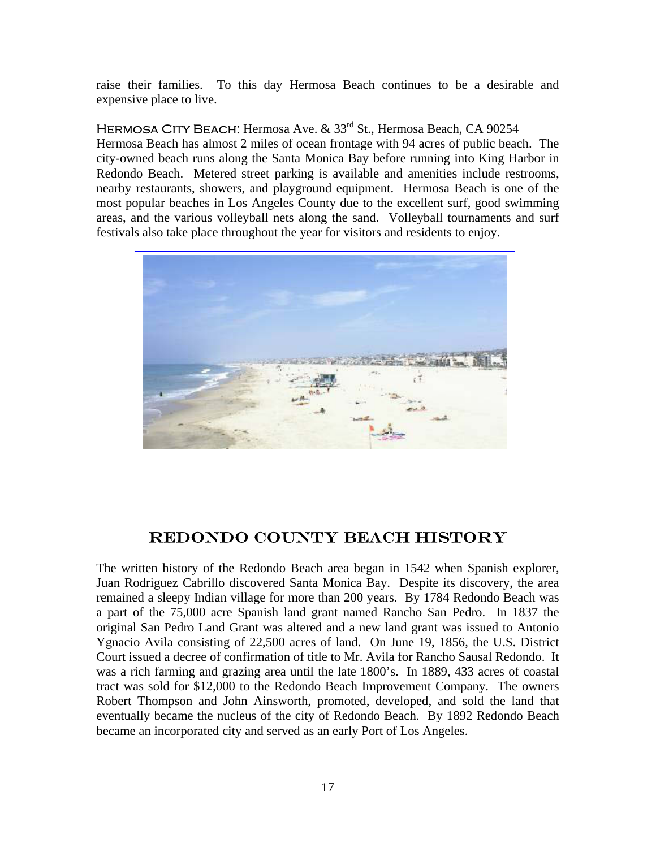raise their families. To this day Hermosa Beach continues to be a desirable and expensive place to live.

#### HERMOSA CITY BEACH: Hermosa Ave. & 33<sup>rd</sup> St., Hermosa Beach, CA 90254

Hermosa Beach has almost 2 miles of ocean frontage with 94 acres of public beach. The city-owned beach runs along the Santa Monica Bay before running into King Harbor in Redondo Beach. Metered street parking is available and amenities include restrooms, nearby restaurants, showers, and playground equipment. Hermosa Beach is one of the most popular beaches in Los Angeles County due to the excellent surf, good swimming areas, and the various volleyball nets along the sand. Volleyball tournaments and surf festivals also take place throughout the year for visitors and residents to enjoy.



# REDONDO COUNTY BEACH HISTORY

The written history of the Redondo Beach area began in 1542 when Spanish explorer, Juan Rodriguez Cabrillo discovered Santa Monica Bay. Despite its discovery, the area remained a sleepy Indian village for more than 200 years. By 1784 Redondo Beach was a part of the 75,000 acre Spanish land grant named Rancho San Pedro. In 1837 the original San Pedro Land Grant was altered and a new land grant was issued to Antonio Ygnacio Avila consisting of 22,500 acres of land. On June 19, 1856, the U.S. District Court issued a decree of confirmation of title to Mr. Avila for Rancho Sausal Redondo. It was a rich farming and grazing area until the late 1800's. In 1889, 433 acres of coastal tract was sold for \$12,000 to the Redondo Beach Improvement Company. The owners Robert Thompson and John Ainsworth, promoted, developed, and sold the land that eventually became the nucleus of the city of Redondo Beach. By 1892 Redondo Beach became an incorporated city and served as an early Port of Los Angeles.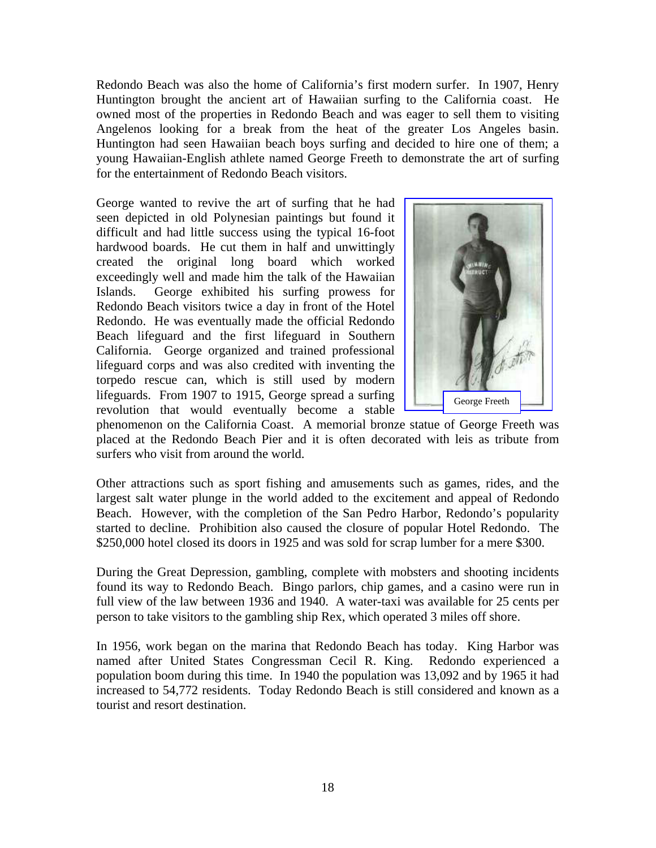Redondo Beach was also the home of California's first modern surfer. In 1907, Henry Huntington brought the ancient art of Hawaiian surfing to the California coast. He owned most of the properties in Redondo Beach and was eager to sell them to visiting Angelenos looking for a break from the heat of the greater Los Angeles basin. Huntington had seen Hawaiian beach boys surfing and decided to hire one of them; a young Hawaiian-English athlete named George Freeth to demonstrate the art of surfing for the entertainment of Redondo Beach visitors.

George wanted to revive the art of surfing that he had seen depicted in old Polynesian paintings but found it difficult and had little success using the typical 16-foot hardwood boards. He cut them in half and unwittingly created the original long board which worked exceedingly well and made him the talk of the Hawaiian Islands. George exhibited his surfing prowess for Redondo Beach visitors twice a day in front of the Hotel Redondo. He was eventually made the official Redondo Beach lifeguard and the first lifeguard in Southern California. George organized and trained professional lifeguard corps and was also credited with inventing the torpedo rescue can, which is still used by modern lifeguards. From 1907 to 1915, George spread a surfing revolution that would eventually become a stable



phenomenon on the California Coast. A memorial bronze statue of George Freeth was placed at the Redondo Beach Pier and it is often decorated with leis as tribute from surfers who visit from around the world.

Other attractions such as sport fishing and amusements such as games, rides, and the largest salt water plunge in the world added to the excitement and appeal of Redondo Beach. However, with the completion of the San Pedro Harbor, Redondo's popularity started to decline. Prohibition also caused the closure of popular Hotel Redondo. The \$250,000 hotel closed its doors in 1925 and was sold for scrap lumber for a mere \$300.

During the Great Depression, gambling, complete with mobsters and shooting incidents found its way to Redondo Beach. Bingo parlors, chip games, and a casino were run in full view of the law between 1936 and 1940. A water-taxi was available for 25 cents per person to take visitors to the gambling ship Rex, which operated 3 miles off shore.

In 1956, work began on the marina that Redondo Beach has today. King Harbor was named after United States Congressman Cecil R. King. Redondo experienced a population boom during this time. In 1940 the population was 13,092 and by 1965 it had increased to 54,772 residents. Today Redondo Beach is still considered and known as a tourist and resort destination.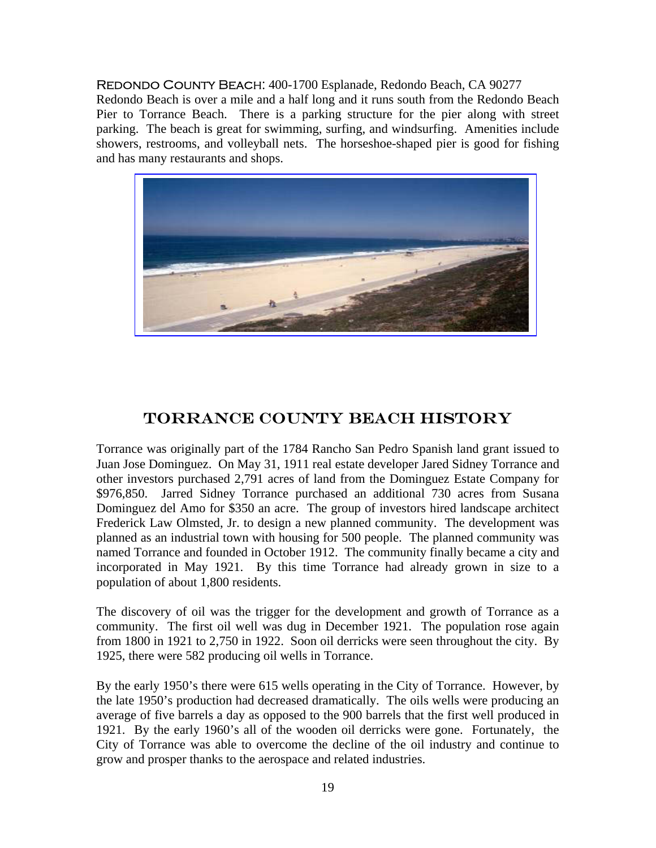REDONDO COUNTY BEACH: 400-1700 Esplanade, Redondo Beach, CA 90277 Redondo Beach is over a mile and a half long and it runs south from the Redondo Beach Pier to Torrance Beach. There is a parking structure for the pier along with street parking. The beach is great for swimming, surfing, and windsurfing. Amenities include showers, restrooms, and volleyball nets. The horseshoe-shaped pier is good for fishing and has many restaurants and shops.



### TORRANCE COUNTY BEACH HISTORY

Torrance was originally part of the 1784 Rancho San Pedro Spanish land grant issued to Juan Jose Dominguez. On May 31, 1911 real estate developer Jared Sidney Torrance and other investors purchased 2,791 acres of land from the Dominguez Estate Company for \$976,850. Jarred Sidney Torrance purchased an additional 730 acres from Susana Dominguez del Amo for \$350 an acre. The group of investors hired landscape architect Frederick Law Olmsted, Jr. to design a new planned community. The development was planned as an industrial town with housing for 500 people. The planned community was named Torrance and founded in October 1912. The community finally became a city and incorporated in May 1921. By this time Torrance had already grown in size to a population of about 1,800 residents.

The discovery of oil was the trigger for the development and growth of Torrance as a community. The first oil well was dug in December 1921. The population rose again from 1800 in 1921 to 2,750 in 1922. Soon oil derricks were seen throughout the city. By 1925, there were 582 producing oil wells in Torrance.

By the early 1950's there were 615 wells operating in the City of Torrance. However, by the late 1950's production had decreased dramatically. The oils wells were producing an average of five barrels a day as opposed to the 900 barrels that the first well produced in 1921. By the early 1960's all of the wooden oil derricks were gone. Fortunately, the City of Torrance was able to overcome the decline of the oil industry and continue to grow and prosper thanks to the aerospace and related industries.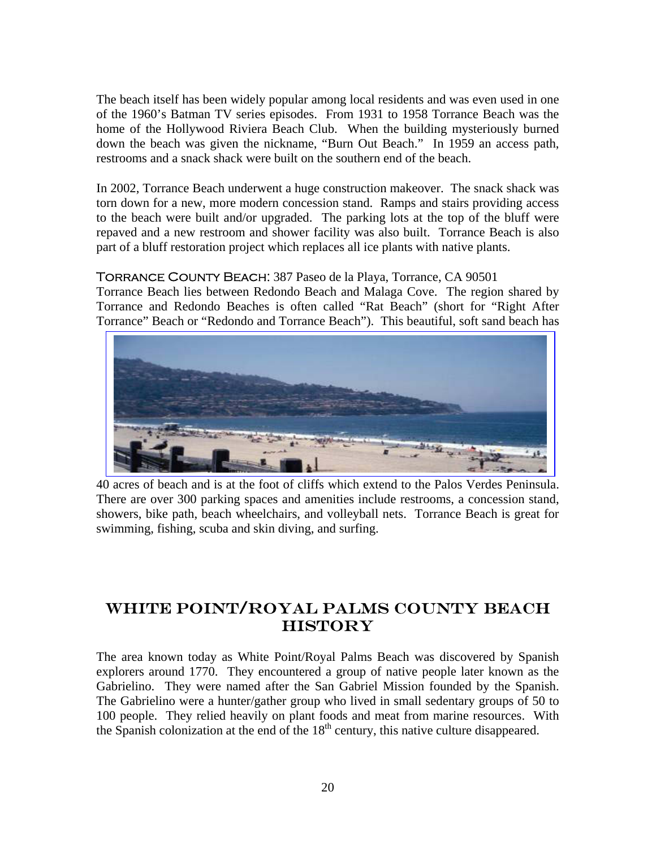The beach itself has been widely popular among local residents and was even used in one of the 1960's Batman TV series episodes. From 1931 to 1958 Torrance Beach was the home of the Hollywood Riviera Beach Club. When the building mysteriously burned down the beach was given the nickname, "Burn Out Beach." In 1959 an access path, restrooms and a snack shack were built on the southern end of the beach.

In 2002, Torrance Beach underwent a huge construction makeover. The snack shack was torn down for a new, more modern concession stand. Ramps and stairs providing access to the beach were built and/or upgraded. The parking lots at the top of the bluff were repaved and a new restroom and shower facility was also built. Torrance Beach is also part of a bluff restoration project which replaces all ice plants with native plants.

#### Torrance County Beach: 387 Paseo de la Playa, Torrance, CA 90501

Torrance Beach lies between Redondo Beach and Malaga Cove. The region shared by Torrance and Redondo Beaches is often called "Rat Beach" (short for "Right After Torrance" Beach or "Redondo and Torrance Beach"). This beautiful, soft sand beach has



40 acres of beach and is at the foot of cliffs which extend to the Palos Verdes Peninsula. There are over 300 parking spaces and amenities include restrooms, a concession stand, showers, bike path, beach wheelchairs, and volleyball nets. Torrance Beach is great for swimming, fishing, scuba and skin diving, and surfing.

# WHITE POINT/ROYAL PALMS COUNTY BEACH **HISTORY**

The area known today as White Point/Royal Palms Beach was discovered by Spanish explorers around 1770. They encountered a group of native people later known as the Gabrielino. They were named after the San Gabriel Mission founded by the Spanish. The Gabrielino were a hunter/gather group who lived in small sedentary groups of 50 to 100 people. They relied heavily on plant foods and meat from marine resources. With the Spanish colonization at the end of the  $18<sup>th</sup>$  century, this native culture disappeared.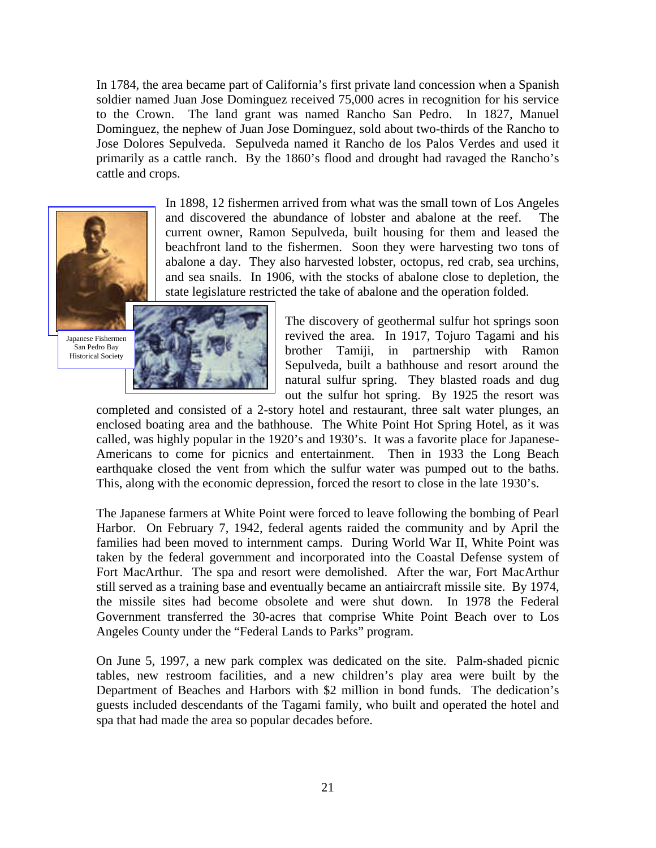In 1784, the area became part of California's first private land concession when a Spanish soldier named Juan Jose Dominguez received 75,000 acres in recognition for his service to the Crown. The land grant was named Rancho San Pedro. In 1827, Manuel Dominguez, the nephew of Juan Jose Dominguez, sold about two-thirds of the Rancho to Jose Dolores Sepulveda. Sepulveda named it Rancho de los Palos Verdes and used it primarily as a cattle ranch. By the 1860's flood and drought had ravaged the Rancho's cattle and crops.



In 1898, 12 fishermen arrived from what was the small town of Los Angeles and discovered the abundance of lobster and abalone at the reef. current owner, Ramon Sepulveda, built housing for them and leased the beachfront land to the fishermen. Soon they were harvesting two tons of abalone a day. They also harvested lobster, octopus, red crab, sea urchins, and sea snails. In 1906, with the stocks of abalone close to depletion, the state legislature restricted the take of abalone and the operation folded.

Japanese Fishermen San Pedro Bay Historical Society



The discovery of geothermal sulfur hot springs soon revived the area. In 1917, Tojuro Tagami and his brother Tamiji, in partnership with Ramon Sepulveda, built a bathhouse and resort around the natural sulfur spring. They blasted roads and dug out the sulfur hot spring. By 1925 the resort was

completed and consisted of a 2-story hotel and restaurant, three salt water plunges, an enclosed boating area and the bathhouse. The White Point Hot Spring Hotel, as it was called, was highly popular in the 1920's and 1930's. It was a favorite place for Japanese-Americans to come for picnics and entertainment. Then in 1933 the Long Beach earthquake closed the vent from which the sulfur water was pumped out to the baths. This, along with the economic depression, forced the resort to close in the late 1930's.

The Japanese farmers at White Point were forced to leave following the bombing of Pearl Harbor. On February 7, 1942, federal agents raided the community and by April the families had been moved to internment camps. During World War II, White Point was taken by the federal government and incorporated into the Coastal Defense system of Fort MacArthur. The spa and resort were demolished. After the war, Fort MacArthur still served as a training base and eventually became an antiaircraft missile site. By 1974, the missile sites had become obsolete and were shut down. In 1978 the Federal Government transferred the 30-acres that comprise White Point Beach over to Los Angeles County under the "Federal Lands to Parks" program.

On June 5, 1997, a new park complex was dedicated on the site. Palm-shaded picnic tables, new restroom facilities, and a new children's play area were built by the Department of Beaches and Harbors with \$2 million in bond funds. The dedication's guests included descendants of the Tagami family, who built and operated the hotel and spa that had made the area so popular decades before.